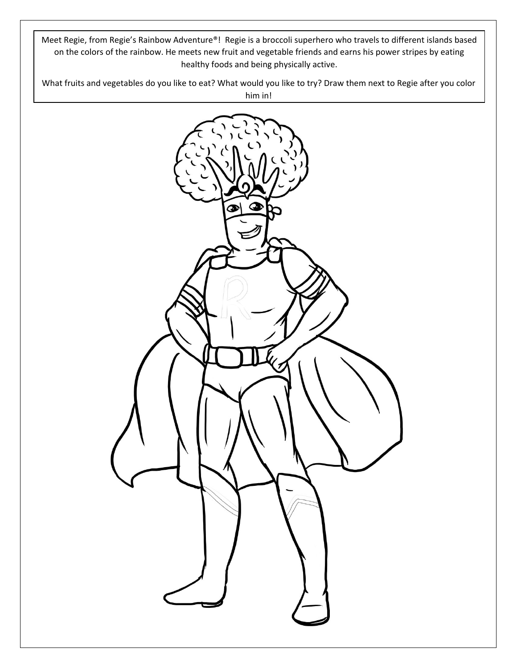Meet Regie, from Regie's Rainbow Adventure®! Regie is a broccoli superhero who travels to different islands based on the colors of the rainbow. He meets new fruit and vegetable friends and earns his power stripes by eating healthy foods and being physically active.

What fruits and vegetables do you like to eat? What would you like to try? Draw them next to Regie after you color him in!

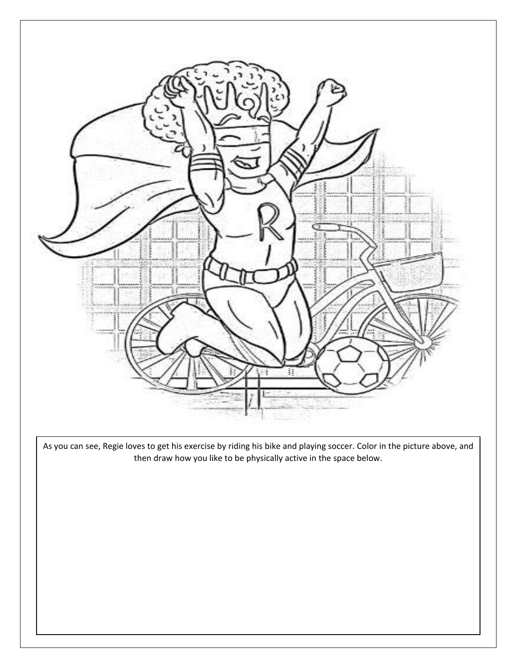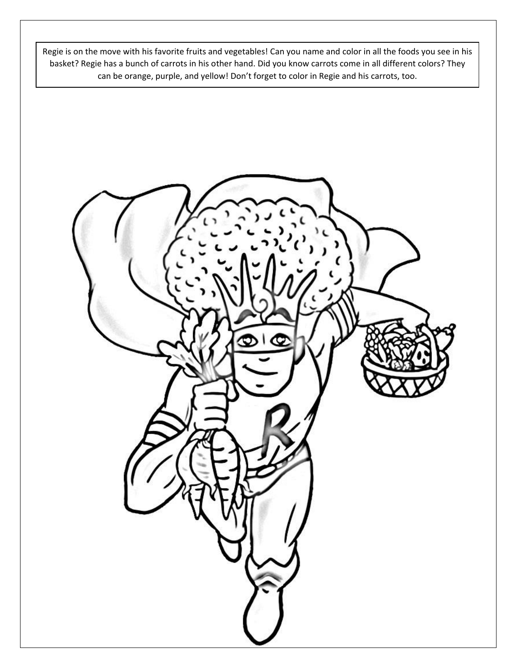Regie is on the move with his favorite fruits and vegetables! Can you name and color in all the foods you see in his basket? Regie has a bunch of carrots in his other hand. Did you know carrots come in all different colors? They can be orange, purple, and yellow! Don't forget to color in Regie and his carrots, too.